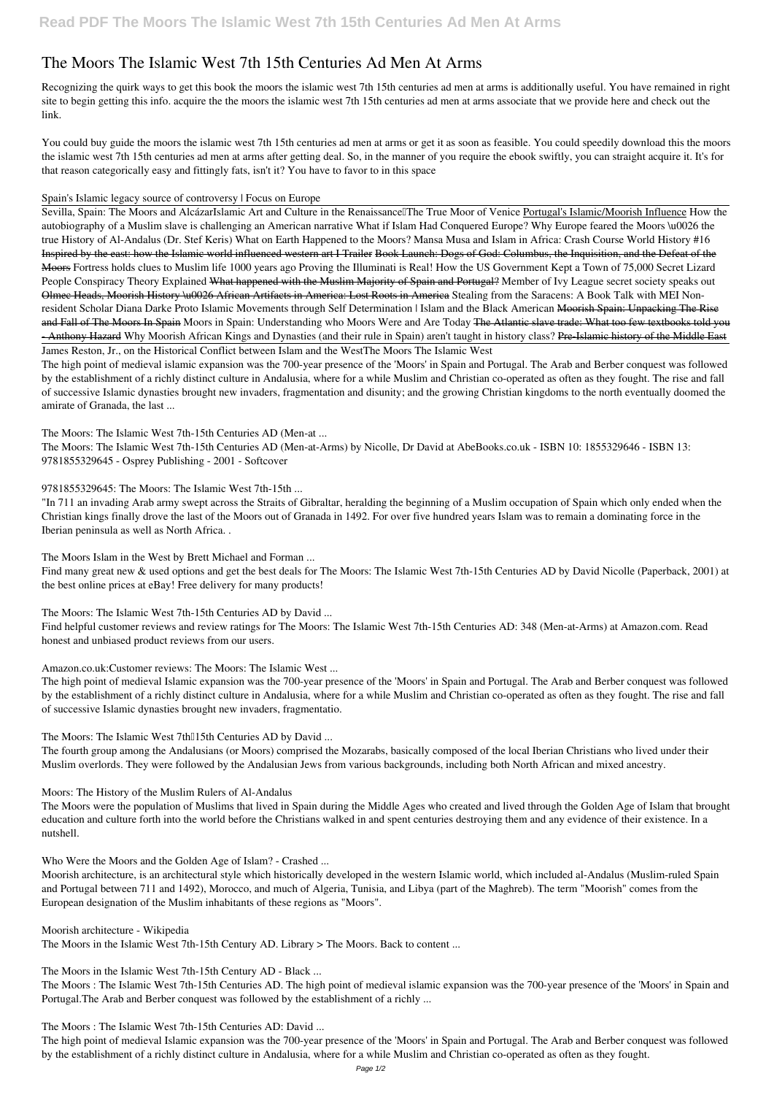# **The Moors The Islamic West 7th 15th Centuries Ad Men At Arms**

Recognizing the quirk ways to get this book **the moors the islamic west 7th 15th centuries ad men at arms** is additionally useful. You have remained in right site to begin getting this info. acquire the the moors the islamic west 7th 15th centuries ad men at arms associate that we provide here and check out the link.

You could buy guide the moors the islamic west 7th 15th centuries ad men at arms or get it as soon as feasible. You could speedily download this the moors the islamic west 7th 15th centuries ad men at arms after getting deal. So, in the manner of you require the ebook swiftly, you can straight acquire it. It's for that reason categorically easy and fittingly fats, isn't it? You have to favor to in this space

#### *Spain's Islamic legacy source of controversy | Focus on Europe*

Sevilla, Spain: The Moors and AlcázarIslamic Art and Culture in the Renaissance<sup>[</sup>The True Moor of Venice Portugal's Islamic/Moorish Influence How the *autobiography of a Muslim slave is challenging an American narrative* **What if Islam Had Conquered Europe?** Why Europe feared the Moors \u0026 the true History of Al-Andalus (Dr. Stef Keris) What on Earth Happened to the Moors? Mansa Musa and Islam in Africa: Crash Course World History #16 Inspired by the east: how the Islamic world influenced western art I Trailer Book Launch: Dogs of God: Columbus, the Inquisition, and the Defeat of the Moors **Fortress holds clues to Muslim life 1000 years ago** Proving the Illuminati is Real! How the US Government Kept a Town of 75,000 Secret Lizard People Conspiracy Theory Explained What happened with the Muslim Majority of Spain and Portugal? **Member of Ivy League secret society speaks out** Olmec Heads, Moorish History \u0026 African Artifacts in America: Lost Roots in America *Stealing from the Saracens: A Book Talk with MEI Nonresident Scholar Diana Darke Proto Islamic Movements through Self Determination | Islam and the Black American* Moorish Spain: Unpacking The Rise and Fall of The Moors In Spain Moors in Spain: Understanding who Moors Were and Are Today The Atlantic slave trade: What too few textbooks told you - Anthony Hazard *Why Moorish African Kings and Dynasties (and their rule in Spain) aren't taught in history class?* Pre-Islamic history of the Middle East James Reston, Jr., on the Historical Conflict between Islam and the West*The Moors The Islamic West*

Find many great new & used options and get the best deals for The Moors: The Islamic West 7th-15th Centuries AD by David Nicolle (Paperback, 2001) at the best online prices at eBay! Free delivery for many products!

The high point of medieval islamic expansion was the 700-year presence of the 'Moors' in Spain and Portugal. The Arab and Berber conquest was followed by the establishment of a richly distinct culture in Andalusia, where for a while Muslim and Christian co-operated as often as they fought. The rise and fall of successive Islamic dynasties brought new invaders, fragmentation and disunity; and the growing Christian kingdoms to the north eventually doomed the amirate of Granada, the last ...

*The Moors: The Islamic West 7th-15th Centuries AD (Men-at ...*

The Moors: The Islamic West 7th-15th Centuries AD (Men-at-Arms) by Nicolle, Dr David at AbeBooks.co.uk - ISBN 10: 1855329646 - ISBN 13: 9781855329645 - Osprey Publishing - 2001 - Softcover

*9781855329645: The Moors: The Islamic West 7th-15th ...*

"In 711 an invading Arab army swept across the Straits of Gibraltar, heralding the beginning of a Muslim occupation of Spain which only ended when the Christian kings finally drove the last of the Moors out of Granada in 1492. For over five hundred years Islam was to remain a dominating force in the Iberian peninsula as well as North Africa. .

*The Moors Islam in the West by Brett Michael and Forman ...*

*The Moors: The Islamic West 7th-15th Centuries AD by David ...*

Find helpful customer reviews and review ratings for The Moors: The Islamic West 7th-15th Centuries AD: 348 (Men-at-Arms) at Amazon.com. Read honest and unbiased product reviews from our users.

*Amazon.co.uk:Customer reviews: The Moors: The Islamic West ...*

The high point of medieval Islamic expansion was the 700-year presence of the 'Moors' in Spain and Portugal. The Arab and Berber conquest was followed by the establishment of a richly distinct culture in Andalusia, where for a while Muslim and Christian co-operated as often as they fought. The rise and fall of successive Islamic dynasties brought new invaders, fragmentatio.

The Moors: The Islamic West 7th $15$ th Centuries AD by David ...

The fourth group among the Andalusians (or Moors) comprised the Mozarabs, basically composed of the local Iberian Christians who lived under their Muslim overlords. They were followed by the Andalusian Jews from various backgrounds, including both North African and mixed ancestry.

### *Moors: The History of the Muslim Rulers of Al-Andalus*

The Moors were the population of Muslims that lived in Spain during the Middle Ages who created and lived through the Golden Age of Islam that brought education and culture forth into the world before the Christians walked in and spent centuries destroying them and any evidence of their existence. In a

nutshell.

*Who Were the Moors and the Golden Age of Islam? - Crashed ...*

Moorish architecture, is an architectural style which historically developed in the western Islamic world, which included al-Andalus (Muslim-ruled Spain and Portugal between 711 and 1492), Morocco, and much of Algeria, Tunisia, and Libya (part of the Maghreb). The term "Moorish" comes from the European designation of the Muslim inhabitants of these regions as "Moors".

*Moorish architecture - Wikipedia* The Moors in the Islamic West 7th-15th Century AD. Library > The Moors. Back to content ...

*The Moors in the Islamic West 7th-15th Century AD - Black ...*

The Moors : The Islamic West 7th-15th Centuries AD. The high point of medieval islamic expansion was the 700-year presence of the 'Moors' in Spain and Portugal.The Arab and Berber conquest was followed by the establishment of a richly ...

*The Moors : The Islamic West 7th-15th Centuries AD: David ...*

The high point of medieval Islamic expansion was the 700-year presence of the 'Moors' in Spain and Portugal. The Arab and Berber conquest was followed by the establishment of a richly distinct culture in Andalusia, where for a while Muslim and Christian co-operated as often as they fought.